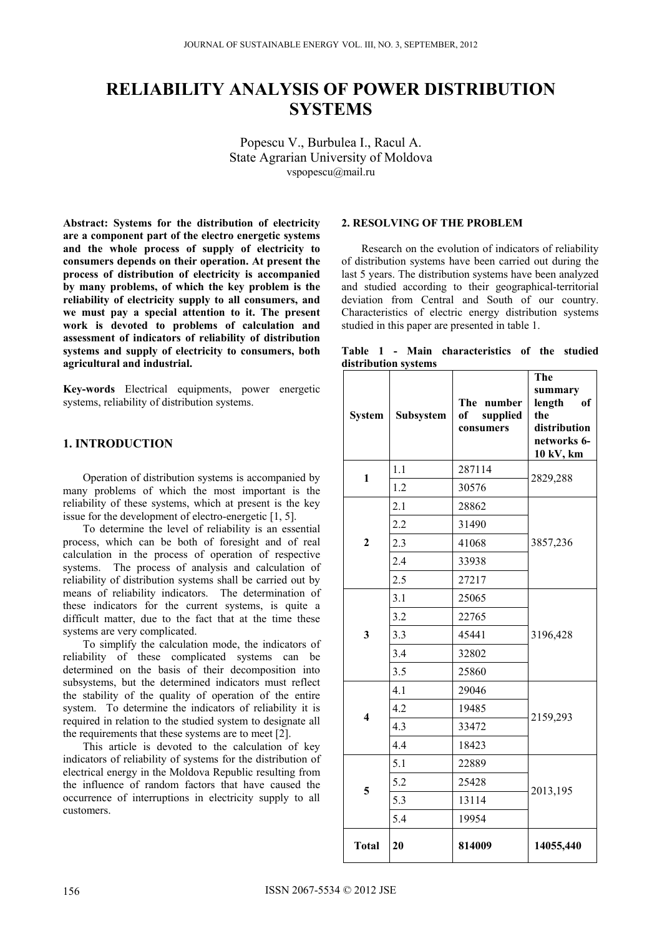# **RELIABILITY ANALYSIS OF POWER DISTRIBUTION SYSTEMS**

Popescu V., Burbulea I., Racul A. State Agrarian University of Moldova vspopescu@mail.ru

**Abstract: Systems for the distribution of electricity are a component part of the electro energetic systems and the whole process of supply of electricity to consumers depends on their operation. At present the process of distribution of electricity is accompanied by many problems, of which the key problem is the reliability of electricity supply to all consumers, and we must pay a special attention to it. The present work is devoted to problems of calculation and assessment of indicators of reliability of distribution systems and supply of electricity to consumers, both agricultural and industrial.** 

**Key-words** Electrical equipments, power energetic systems, reliability of distribution systems.

## **1. INTRODUCTION**

Operation of distribution systems is accompanied by many problems of which the most important is the reliability of these systems, which at present is the key issue for the development of electro-energetic [1, 5].

To determine the level of reliability is an essential process, which can be both of foresight and of real calculation in the process of operation of respective systems. The process of analysis and calculation of reliability of distribution systems shall be carried out by means of reliability indicators. The determination of these indicators for the current systems, is quite a difficult matter, due to the fact that at the time these systems are very complicated.

To simplify the calculation mode, the indicators of reliability of these complicated systems can be determined on the basis of their decomposition into subsystems, but the determined indicators must reflect the stability of the quality of operation of the entire system. To determine the indicators of reliability it is required in relation to the studied system to designate all the requirements that these systems are to meet [2].

This article is devoted to the calculation of key indicators of reliability of systems for the distribution of electrical energy in the Moldova Republic resulting from the influence of random factors that have caused the occurrence of interruptions in electricity supply to all customers.

#### **2. RESOLVING OF THE PROBLEM**

Research on the evolution of indicators of reliability of distribution systems have been carried out during the last 5 years. The distribution systems have been analyzed and studied according to their geographical-territorial deviation from Central and South of our country. Characteristics of electric energy distribution systems studied in this paper are presented in table 1.

|  |                      | Table 1 - Main characteristics of the studied |  |  |
|--|----------------------|-----------------------------------------------|--|--|
|  | distribution systems |                                               |  |  |

| <b>System</b>           | Subsystem | The number<br>of<br>supplied<br>consumers | The<br>summary<br>length<br>of<br>the<br>distribution<br>networks 6-<br>10 kV, km |  |  |
|-------------------------|-----------|-------------------------------------------|-----------------------------------------------------------------------------------|--|--|
| $\mathbf{1}$            | 1.1       | 287114                                    | 2829,288                                                                          |  |  |
|                         | 1.2       | 30576                                     |                                                                                   |  |  |
|                         | 2.1       | 28862                                     |                                                                                   |  |  |
|                         | 2.2       | 31490                                     | 3857,236                                                                          |  |  |
| $\overline{2}$          | 2.3       | 41068                                     |                                                                                   |  |  |
|                         | 2.4       | 33938                                     |                                                                                   |  |  |
|                         | 2.5       | 27217                                     |                                                                                   |  |  |
|                         | 3.1       | 25065                                     |                                                                                   |  |  |
|                         | 3.2       | 22765                                     | 3196,428                                                                          |  |  |
| 3                       | 3.3       | 45441                                     |                                                                                   |  |  |
|                         | 3.4       | 32802                                     |                                                                                   |  |  |
|                         | 3.5       | 25860                                     |                                                                                   |  |  |
|                         | 4.1       | 29046                                     |                                                                                   |  |  |
| $\overline{\mathbf{4}}$ | 4.2       | 19485                                     |                                                                                   |  |  |
|                         | 4.3       | 33472                                     | 2159,293                                                                          |  |  |
|                         | 4.4       | 18423                                     |                                                                                   |  |  |
|                         | 5.1       | 22889                                     |                                                                                   |  |  |
| 5                       | 5.2       | 25428                                     |                                                                                   |  |  |
|                         | 5.3       | 13114                                     | 2013,195                                                                          |  |  |
|                         | 5.4       | 19954                                     |                                                                                   |  |  |
| <b>Total</b>            | 20        | 814009                                    | 14055,440                                                                         |  |  |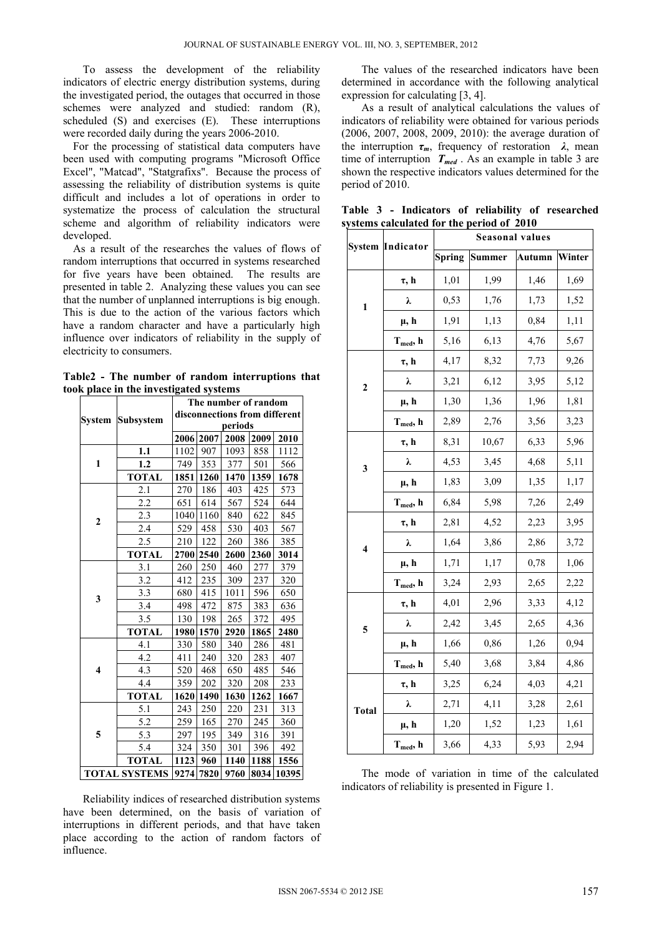To assess the development of the reliability indicators of electric energy distribution systems, during the investigated period, the outages that occurred in those schemes were analyzed and studied: random (R), scheduled (S) and exercises (E). These interruptions were recorded daily during the years 2006-2010.

 For the processing of statistical data computers have been used with computing programs "Microsoft Office Excel", "Matcad", "Statgrafixs". Because the process of assessing the reliability of distribution systems is quite difficult and includes a lot of operations in order to systematize the process of calculation the structural scheme and algorithm of reliability indicators were developed.

 As a result of the researches the values of flows of random interruptions that occurred in systems researched for five years have been obtained. The results are presented in table 2. Analyzing these values you can see that the number of unplanned interruptions is big enough. This is due to the action of the various factors which have a random character and have a particularly high influence over indicators of reliability in the supply of electricity to consumers.

**Table2 - The number of random interruptions that**  took place in the investigate

|                         | k piace in the investigated systems |                               |      |      |      |       |  |
|-------------------------|-------------------------------------|-------------------------------|------|------|------|-------|--|
|                         |                                     | The number of random          |      |      |      |       |  |
| <b>System</b>           | <b>Subsystem</b>                    | disconnections from different |      |      |      |       |  |
|                         |                                     | periods                       |      |      |      |       |  |
|                         |                                     | 2006                          | 2007 | 2008 | 2009 | 2010  |  |
| 1                       | 1.1                                 | 1102                          | 907  | 1093 | 858  | 1112  |  |
|                         | 1.2                                 | 749                           | 353  | 377  | 501  | 566   |  |
|                         | <b>TOTAL</b>                        | 1851                          | 1260 | 1470 | 1359 | 1678  |  |
|                         | 2.1                                 | 270                           | 186  | 403  | 425  | 573   |  |
|                         | 2.2                                 | 651                           | 614  | 567  | 524  | 644   |  |
| $\boldsymbol{2}$        | 2.3                                 | 1040                          | 1160 | 840  | 622  | 845   |  |
|                         | 2.4                                 | 529                           | 458  | 530  | 403  | 567   |  |
|                         | 2.5                                 | 210                           | 122  | 260  | 386  | 385   |  |
|                         | <b>TOTAL</b>                        | 2700                          | 2540 | 2600 | 2360 | 3014  |  |
|                         | 3.1                                 | 260                           | 250  | 460  | 277  | 379   |  |
|                         | 3.2                                 | 412                           | 235  | 309  | 237  | 320   |  |
| 3                       | 3.3                                 | 680                           | 415  | 1011 | 596  | 650   |  |
|                         | 3.4                                 | 498                           | 472  | 875  | 383  | 636   |  |
|                         | 3.5                                 | 130                           | 198  | 265  | 372  | 495   |  |
|                         | <b>TOTAL</b>                        | 1980                          | 1570 | 2920 | 1865 | 2480  |  |
|                         | 4.1                                 | 330                           | 580  | 340  | 286  | 481   |  |
|                         | 4.2                                 | 411                           | 240  | 320  | 283  | 407   |  |
| $\overline{\mathbf{4}}$ | 4.3                                 | 520                           | 468  | 650  | 485  | 546   |  |
|                         | 4.4                                 | 359                           | 202  | 320  | 208  | 233   |  |
|                         | <b>TOTAL</b>                        | 1620                          | 1490 | 1630 | 1262 | 1667  |  |
| 5                       | 5.1                                 | 243                           | 250  | 220  | 231  | 313   |  |
|                         | 5.2                                 | 259                           | 165  | 270  | 245  | 360   |  |
|                         | 5.3                                 | 297                           | 195  | 349  | 316  | 391   |  |
|                         | 5.4                                 | 324                           | 350  | 301  | 396  | 492   |  |
|                         | <b>TOTAL</b>                        | 1123                          | 960  | 1140 | 1188 | 1556  |  |
| <b>TOTAL SYSTEMS</b>    |                                     | 9274                          | 7820 | 9760 | 8034 | 10395 |  |

Reliability indices of researched distribution systems have been determined, on the basis of variation of interruptions in different periods, and that have taken place according to the action of random factors of influence.

The values of the researched indicators have been determined in accordance with the following analytical expression for calculating [3, 4].

As a result of analytical calculations the values of indicators of reliability were obtained for various periods (2006, 2007, 2008, 2009, 2010): the average duration of the interruption  $\tau_m$ , frequency of restoration  $\lambda$ , mean time of interruption  $T_{med}$ . As an example in table 3 are shown the respective indicators values determined for the period of 2010.

|                         | <b>System Indicator</b> | <b>Seasonal values</b> |               |               |        |  |  |
|-------------------------|-------------------------|------------------------|---------------|---------------|--------|--|--|
|                         |                         | <b>Spring</b>          | <b>Summer</b> | <b>Autumn</b> | Winter |  |  |
|                         | $\tau$ , h              | 1,01                   | 1,99          | 1,46          | 1,69   |  |  |
| $\mathbf{1}$            | λ                       | 0,53                   | 1,76          | 1,73          | 1,52   |  |  |
|                         | $\mu$ , h               | 1,91                   | 1,13          | 0,84          | 1,11   |  |  |
|                         | $T_{med}$ , h           | 5,16                   | 6,13          | 4,76          | 5,67   |  |  |
| $\mathbf{2}$            | $\tau$ , h              | 4,17                   | 8,32          | 7,73          | 9,26   |  |  |
|                         | λ                       | 3,21                   | 6,12          | 3,95          | 5,12   |  |  |
|                         | $\mu$ , h               | 1,30                   | 1,36          | 1,96          | 1,81   |  |  |
|                         | $T_{med}$ , h           | 2,89                   | 2,76          | 3,56          | 3,23   |  |  |
| $\overline{\mathbf{3}}$ | $\tau$ , h              | 8,31                   | 10,67         | 6,33          | 5,96   |  |  |
|                         | λ                       | 4,53                   | 3,45          | 4,68          | 5,11   |  |  |
|                         | $\mu$ , h               | 1,83                   | 3,09          | 1,35          | 1,17   |  |  |
|                         | $T_{med}$ , h           | 6,84                   | 5,98          | 7,26          | 2,49   |  |  |
| $\overline{\mathbf{4}}$ | $\tau$ , h              | 2,81                   | 4,52          | 2,23          | 3,95   |  |  |
|                         | λ                       | 1,64                   | 3,86          | 2,86          | 3,72   |  |  |
|                         | μ, h                    | 1,71                   | 1,17          | 0,78          | 1,06   |  |  |
|                         | $T_{med}$ , h           | 3,24                   | 2,93          | 2,65          | 2,22   |  |  |
| 5                       | $\tau$ , h              | 4,01                   | 2,96          | 3,33          | 4,12   |  |  |
|                         | λ                       | 2,42                   | 3,45          | 2,65          | 4,36   |  |  |
|                         | $\mu$ , h               | 1,66                   | 0,86          | 1,26          | 0,94   |  |  |
|                         | $T_{med}$ , h           | 5,40                   | 3,68          | 3,84          | 4,86   |  |  |
| <b>Total</b>            | $\tau$ , h              | 3,25                   | 6,24          | 4,03          | 4,21   |  |  |
|                         | λ                       | 2,71                   | 4,11          | 3,28          | 2,61   |  |  |
|                         | μ, h                    | 1,20                   | 1,52          | 1,23          | 1,61   |  |  |
|                         | $T_{med}$ , h           | 3,66                   | 4,33          | 5,93          | 2,94   |  |  |

**Table 3 - Indicators of reliability of researched systems calculated for the period of 2010**

The mode of variation in time of the calculated indicators of reliability is presented in Figure 1.